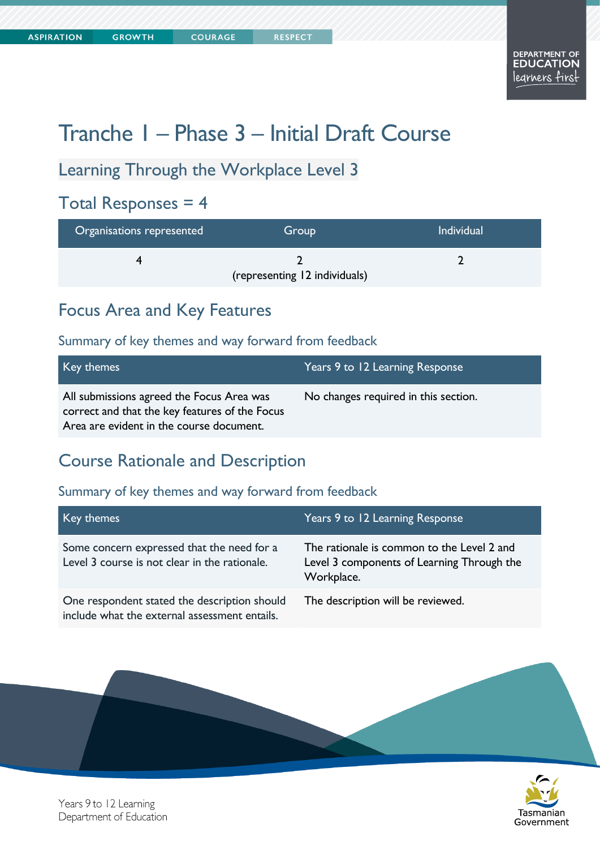# Tranche 1 – Phase 3 – Initial Draft Course

Learning Through the Workplace Level 3

**COURAGE** 

### Total Responses = 4

| Organisations represented | Group                         | <b>Individual</b> |
|---------------------------|-------------------------------|-------------------|
|                           | (representing 12 individuals) |                   |

### Focus Area and Key Features

#### Summary of key themes and way forward from feedback

| Key themes                                                                                                                              | Years 9 to 12 Learning Response      |
|-----------------------------------------------------------------------------------------------------------------------------------------|--------------------------------------|
| All submissions agreed the Focus Area was<br>correct and that the key features of the Focus<br>Area are evident in the course document. | No changes required in this section. |

### Course Rationale and Description

#### Summary of key themes and way forward from feedback

| Key themes                                                                                    | Years 9 to 12 Learning Response                                                                        |
|-----------------------------------------------------------------------------------------------|--------------------------------------------------------------------------------------------------------|
| Some concern expressed that the need for a<br>Level 3 course is not clear in the rationale.   | The rationale is common to the Level 2 and<br>Level 3 components of Learning Through the<br>Workplace. |
| One respondent stated the description should<br>include what the external assessment entails. | The description will be reviewed.                                                                      |



Years 9 to 12 Learning Department of Education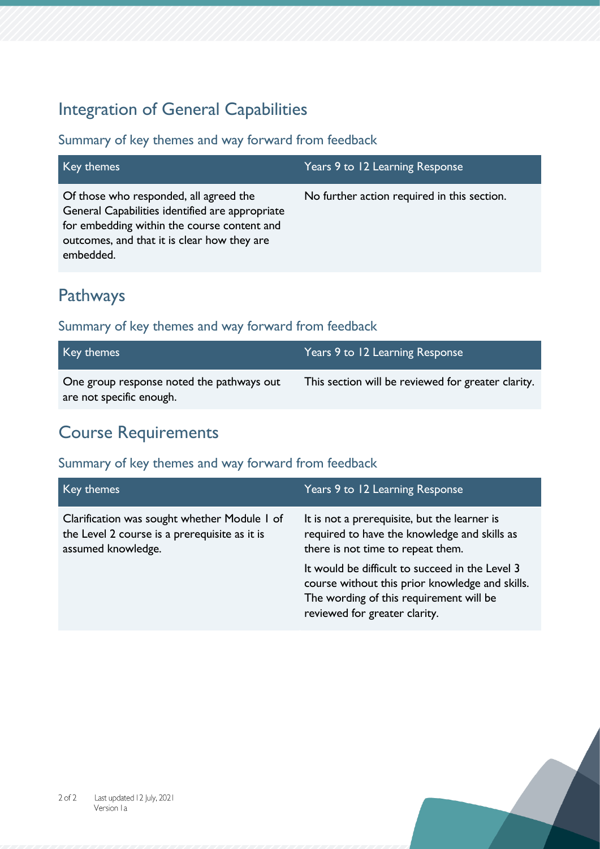# Integration of General Capabilities

#### Summary of key themes and way forward from feedback

| Key themes                                                                                                                                                                                           | Years 9 to 12 Learning Response             |
|------------------------------------------------------------------------------------------------------------------------------------------------------------------------------------------------------|---------------------------------------------|
| Of those who responded, all agreed the<br>General Capabilities identified are appropriate<br>for embedding within the course content and<br>outcomes, and that it is clear how they are<br>embedded. | No further action required in this section. |

### Pathways

#### Summary of key themes and way forward from feedback

| Key themes                                                            | Years 9 to 12 Learning Response                    |
|-----------------------------------------------------------------------|----------------------------------------------------|
| One group response noted the pathways out<br>are not specific enough. | This section will be reviewed for greater clarity. |

### Course Requirements

### Summary of key themes and way forward from feedback

| Key themes                                                                                                          | Years 9 to 12 Learning Response                                                                                                                                                |
|---------------------------------------------------------------------------------------------------------------------|--------------------------------------------------------------------------------------------------------------------------------------------------------------------------------|
| Clarification was sought whether Module I of<br>the Level 2 course is a prerequisite as it is<br>assumed knowledge. | It is not a prerequisite, but the learner is<br>required to have the knowledge and skills as<br>there is not time to repeat them.                                              |
|                                                                                                                     | It would be difficult to succeed in the Level 3<br>course without this prior knowledge and skills.<br>The wording of this requirement will be<br>reviewed for greater clarity. |

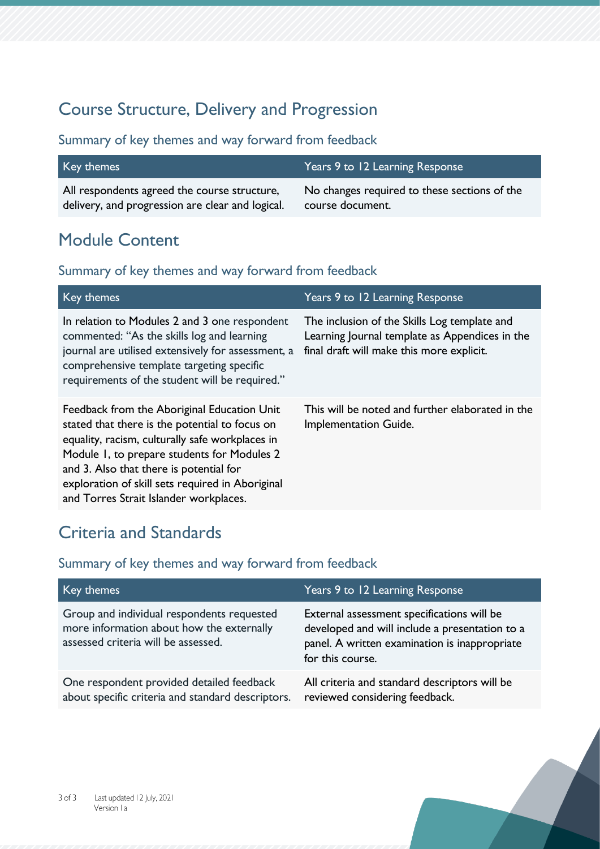# Course Structure, Delivery and Progression

### Summary of key themes and way forward from feedback

| Key themes                                       | Years 9 to 12 Learning Response              |
|--------------------------------------------------|----------------------------------------------|
| All respondents agreed the course structure,     | No changes required to these sections of the |
| delivery, and progression are clear and logical. | course document.                             |

### Module Content

#### Summary of key themes and way forward from feedback

| Key themes                                                                                                                                                                                                                                                                                                                               | Years 9 to 12 Learning Response                                                                                                             |
|------------------------------------------------------------------------------------------------------------------------------------------------------------------------------------------------------------------------------------------------------------------------------------------------------------------------------------------|---------------------------------------------------------------------------------------------------------------------------------------------|
| In relation to Modules 2 and 3 one respondent<br>commented: "As the skills log and learning<br>journal are utilised extensively for assessment, a<br>comprehensive template targeting specific<br>requirements of the student will be required."                                                                                         | The inclusion of the Skills Log template and<br>Learning Journal template as Appendices in the<br>final draft will make this more explicit. |
| Feedback from the Aboriginal Education Unit<br>stated that there is the potential to focus on<br>equality, racism, culturally safe workplaces in<br>Module 1, to prepare students for Modules 2<br>and 3. Also that there is potential for<br>exploration of skill sets required in Aboriginal<br>and Torres Strait Islander workplaces. | This will be noted and further elaborated in the<br>Implementation Guide.                                                                   |

# Criteria and Standards

### Summary of key themes and way forward from feedback

| Key themes                                                                                                                     | Years 9 to 12 Learning Response                                                                                                                                   |
|--------------------------------------------------------------------------------------------------------------------------------|-------------------------------------------------------------------------------------------------------------------------------------------------------------------|
| Group and individual respondents requested<br>more information about how the externally<br>assessed criteria will be assessed. | External assessment specifications will be<br>developed and will include a presentation to a<br>panel. A written examination is inappropriate<br>for this course. |
| One respondent provided detailed feedback<br>about specific criteria and standard descriptors.                                 | All criteria and standard descriptors will be<br>reviewed considering feedback.                                                                                   |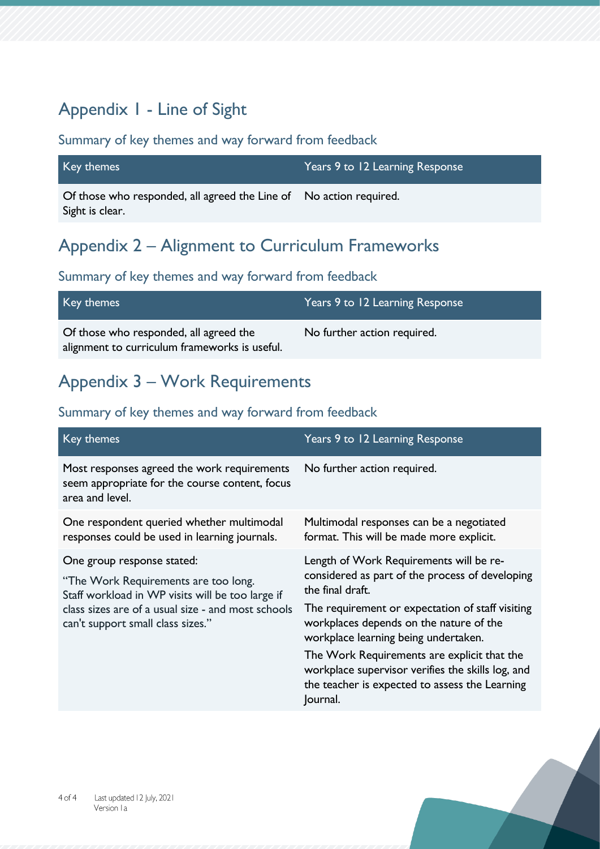# Appendix 1 - Line of Sight

#### Summary of key themes and way forward from feedback

| Key themes | Years 9 to 12 Learning Response |
|------------|---------------------------------|
|            |                                 |

Of those who responded, all agreed the Line of No action required. Sight is clear.

# Appendix 2 – Alignment to Curriculum Frameworks

#### Summary of key themes and way forward from feedback

| Key themes                                                                              | Years 9 to 12 Learning Response |
|-----------------------------------------------------------------------------------------|---------------------------------|
| Of those who responded, all agreed the<br>alignment to curriculum frameworks is useful. | No further action required.     |

### Appendix 3 – Work Requirements

### Summary of key themes and way forward from feedback

| Key themes                                                                                                                                                                                                        | Years 9 to 12 Learning Response                                                                                                                                                                                                                                                                                                                                                                                         |
|-------------------------------------------------------------------------------------------------------------------------------------------------------------------------------------------------------------------|-------------------------------------------------------------------------------------------------------------------------------------------------------------------------------------------------------------------------------------------------------------------------------------------------------------------------------------------------------------------------------------------------------------------------|
| Most responses agreed the work requirements<br>seem appropriate for the course content, focus<br>area and level.                                                                                                  | No further action required.                                                                                                                                                                                                                                                                                                                                                                                             |
| One respondent queried whether multimodal<br>responses could be used in learning journals.                                                                                                                        | Multimodal responses can be a negotiated<br>format. This will be made more explicit.                                                                                                                                                                                                                                                                                                                                    |
| One group response stated:<br>"The Work Requirements are too long.<br>Staff workload in WP visits will be too large if<br>class sizes are of a usual size - and most schools<br>can't support small class sizes." | Length of Work Requirements will be re-<br>considered as part of the process of developing<br>the final draft.<br>The requirement or expectation of staff visiting<br>workplaces depends on the nature of the<br>workplace learning being undertaken.<br>The Work Requirements are explicit that the<br>workplace supervisor verifies the skills log, and<br>the teacher is expected to assess the Learning<br>Journal. |